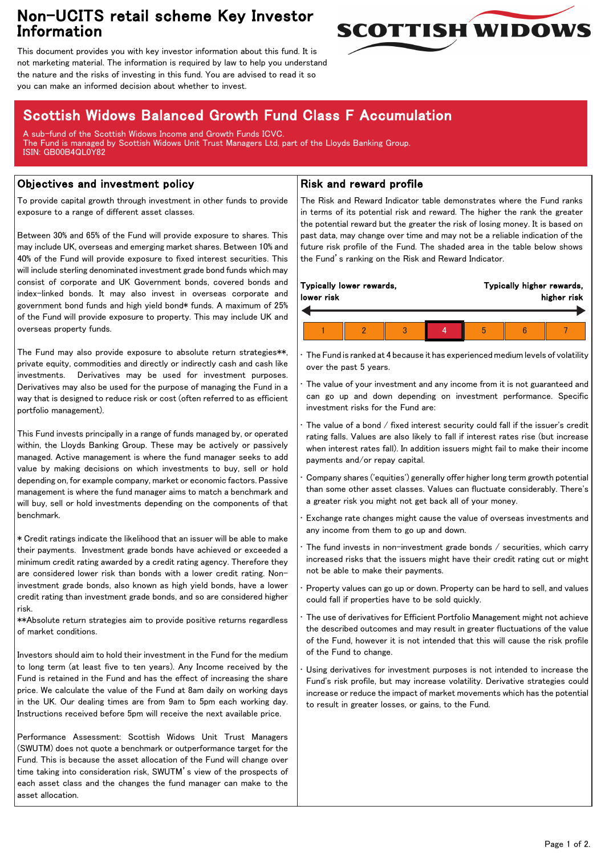## Non-UCITS retail scheme Key Investor Information



This document provides you with key investor information about this fund. It is not marketing material. The information is required by law to help you understand the nature and the risks of investing in this fund. You are advised to read it so you can make an informed decision about whether to invest.

# Scottish Widows Balanced Growth Fund Class F Accumulation

A sub-fund of the Scottish Widows Income and Growth Funds ICVC. The Fund is managed by Scottish Widows Unit Trust Managers Ltd, part of the Lloyds Banking Group. ISIN: GB00B4QL0Y82

### Objectives and investment policy

To provide capital growth through investment in other funds to provide exposure to a range of different asset classes.

Between 30% and 65% of the Fund will provide exposure to shares. This may include UK, overseas and emerging market shares. Between 10% and 40% of the Fund will provide exposure to fixed interest securities. This will include sterling denominated investment grade bond funds which may consist of corporate and UK Government bonds, covered bonds and index-linked bonds. It may also invest in overseas corporate and government bond funds and high yield bond\* funds. A maximum of 25% of the Fund will provide exposure to property. This may include UK and overseas property funds.

The Fund may also provide exposure to absolute return strategies\*\*, private equity, commodities and directly or indirectly cash and cash like investments. Derivatives may be used for investment purposes. Derivatives may also be used for the purpose of managing the Fund in a way that is designed to reduce risk or cost (often referred to as efficient portfolio management).

This Fund invests principally in a range of funds managed by, or operated within, the Lloyds Banking Group. These may be actively or passively managed. Active management is where the fund manager seeks to add value by making decisions on which investments to buy, sell or hold depending on, for example company, market or economic factors. Passive management is where the fund manager aims to match a benchmark and will buy, sell or hold investments depending on the components of that benchmark.

\* Credit ratings indicate the likelihood that an issuer will be able to make their payments. Investment grade bonds have achieved or exceeded a minimum credit rating awarded by a credit rating agency. Therefore they are considered lower risk than bonds with a lower credit rating. Noninvestment grade bonds, also known as high yield bonds, have a lower credit rating than investment grade bonds, and so are considered higher risk.

\*\*Absolute return strategies aim to provide positive returns regardless of market conditions.

Investors should aim to hold their investment in the Fund for the medium to long term (at least five to ten years). Any Income received by the Fund is retained in the Fund and has the effect of increasing the share price. We calculate the value of the Fund at 8am daily on working days in the UK. Our dealing times are from 9am to 5pm each working day. Instructions received before 5pm will receive the next available price.

Performance Assessment: Scottish Widows Unit Trust Managers (SWUTM) does not quote a benchmark or outperformance target for the Fund. This is because the asset allocation of the Fund will change over time taking into consideration risk, SWUTM's view of the prospects of each asset class and the changes the fund manager can make to the asset allocation.

#### Risk and reward profile

The Risk and Reward Indicator table demonstrates where the Fund ranks in terms of its potential risk and reward. The higher the rank the greater the potential reward but the greater the risk of losing money. It is based on past data, may change over time and may not be a reliable indication of the future risk profile of the Fund. The shaded area in the table below shows the Fund's ranking on the Risk and Reward Indicator.

| lower risk | Typically lower rewards, |  |   | Typically higher rewards, | higher risk |
|------------|--------------------------|--|---|---------------------------|-------------|
|            |                          |  |   |                           |             |
|            |                          |  | h |                           |             |

• The Fund is ranked at 4 because it has experienced medium levels of volatility over the past 5 years.

The value of your investment and any income from it is not guaranteed and can go up and down depending on investment performance. Specific investment risks for the Fund are:

• The value of a bond / fixed interest security could fall if the issuer's credit rating falls. Values are also likely to fall if interest rates rise (but increase when interest rates fall). In addition issuers might fail to make their income payments and/or repay capital.

• Company shares ('equities') generally offer higher long term growth potential than some other asset classes. Values can fluctuate considerably. There's a greater risk you might not get back all of your money.

• Exchange rate changes might cause the value of overseas investments and any income from them to go up and down.

The fund invests in non-investment grade bonds  $/$  securities, which carry increased risks that the issuers might have their credit rating cut or might not be able to make their payments.

• Property values can go up or down. Property can be hard to sell, and values could fall if properties have to be sold quickly.

• The use of derivatives for Efficient Portfolio Management might not achieve the described outcomes and may result in greater fluctuations of the value of the Fund, however it is not intended that this will cause the risk profile of the Fund to change.

Using derivatives for investment purposes is not intended to increase the Fund's risk profile, but may increase volatility. Derivative strategies could increase or reduce the impact of market movements which has the potential to result in greater losses, or gains, to the Fund.